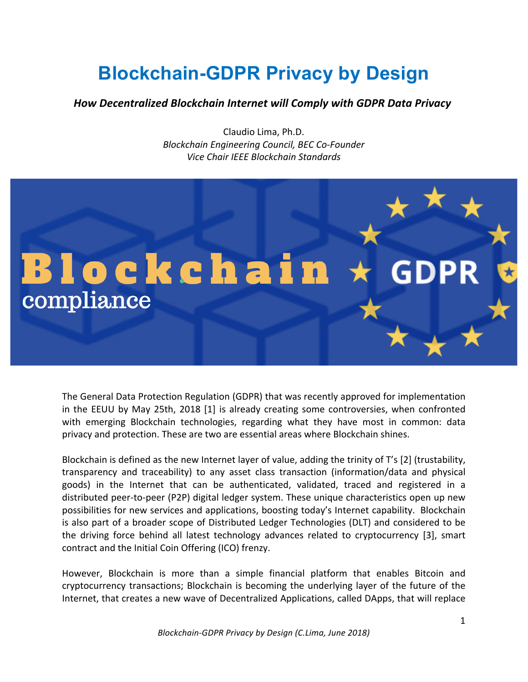## **Blockchain-GDPR Privacy by Design**

## *How Decentralized Blockchain Internet will Comply with GDPR Data Privacy*

Claudio Lima, Ph.D. *Blockchain Engineering Council, BEC Co-Founder Vice Chair IEEE Blockchain Standards*



The General Data Protection Regulation (GDPR) that was recently approved for implementation in the EEUU by May 25th, 2018 [1] is already creating some controversies, when confronted with emerging Blockchain technologies, regarding what they have most in common: data privacy and protection. These are two are essential areas where Blockchain shines.

Blockchain is defined as the new Internet layer of value, adding the trinity of T's [2] (trustability, transparency and traceability) to any asset class transaction (information/data and physical goods) in the Internet that can be authenticated, validated, traced and registered in a distributed peer-to-peer (P2P) digital ledger system. These unique characteristics open up new possibilities for new services and applications, boosting today's Internet capability. Blockchain is also part of a broader scope of Distributed Ledger Technologies (DLT) and considered to be the driving force behind all latest technology advances related to cryptocurrency [3], smart contract and the Initial Coin Offering (ICO) frenzy.

However, Blockchain is more than a simple financial platform that enables Bitcoin and cryptocurrency transactions; Blockchain is becoming the underlying layer of the future of the Internet, that creates a new wave of Decentralized Applications, called DApps, that will replace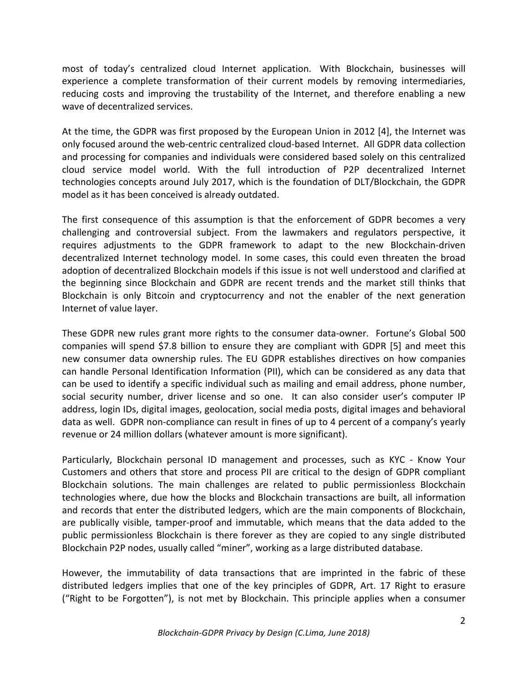most of today's centralized cloud Internet application. With Blockchain, businesses will experience a complete transformation of their current models by removing intermediaries, reducing costs and improving the trustability of the Internet, and therefore enabling a new wave of decentralized services.

At the time, the GDPR was first proposed by the European Union in 2012 [4], the Internet was only focused around the web-centric centralized cloud-based Internet. All GDPR data collection and processing for companies and individuals were considered based solely on this centralized cloud service model world. With the full introduction of P2P decentralized Internet technologies concepts around July 2017, which is the foundation of DLT/Blockchain, the GDPR model as it has been conceived is already outdated.

The first consequence of this assumption is that the enforcement of GDPR becomes a very challenging and controversial subject. From the lawmakers and regulators perspective, it requires adjustments to the GDPR framework to adapt to the new Blockchain-driven decentralized Internet technology model. In some cases, this could even threaten the broad adoption of decentralized Blockchain models if this issue is not well understood and clarified at the beginning since Blockchain and GDPR are recent trends and the market still thinks that Blockchain is only Bitcoin and cryptocurrency and not the enabler of the next generation Internet of value layer.

These GDPR new rules grant more rights to the consumer data-owner. Fortune's Global 500 companies will spend \$7.8 billion to ensure they are compliant with GDPR [5] and meet this new consumer data ownership rules. The EU GDPR establishes directives on how companies can handle Personal Identification Information (PII), which can be considered as any data that can be used to identify a specific individual such as mailing and email address, phone number, social security number, driver license and so one. It can also consider user's computer IP address, login IDs, digital images, geolocation, social media posts, digital images and behavioral data as well. GDPR non-compliance can result in fines of up to 4 percent of a company's yearly revenue or 24 million dollars (whatever amount is more significant).

Particularly, Blockchain personal ID management and processes, such as KYC - Know Your Customers and others that store and process PII are critical to the design of GDPR compliant Blockchain solutions. The main challenges are related to public permissionless Blockchain technologies where, due how the blocks and Blockchain transactions are built, all information and records that enter the distributed ledgers, which are the main components of Blockchain, are publically visible, tamper-proof and immutable, which means that the data added to the public permissionless Blockchain is there forever as they are copied to any single distributed Blockchain P2P nodes, usually called "miner", working as a large distributed database.

However, the immutability of data transactions that are imprinted in the fabric of these distributed ledgers implies that one of the key principles of GDPR, Art. 17 Right to erasure ("Right to be Forgotten"), is not met by Blockchain. This principle applies when a consumer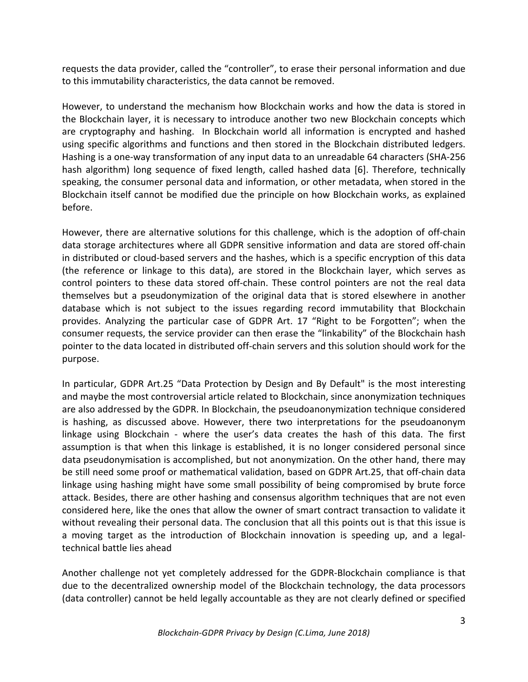requests the data provider, called the "controller", to erase their personal information and due to this immutability characteristics, the data cannot be removed.

However, to understand the mechanism how Blockchain works and how the data is stored in the Blockchain layer, it is necessary to introduce another two new Blockchain concepts which are cryptography and hashing. In Blockchain world all information is encrypted and hashed using specific algorithms and functions and then stored in the Blockchain distributed ledgers. Hashing is a one-way transformation of any input data to an unreadable 64 characters (SHA-256 hash algorithm) long sequence of fixed length, called hashed data [6]. Therefore, technically speaking, the consumer personal data and information, or other metadata, when stored in the Blockchain itself cannot be modified due the principle on how Blockchain works, as explained before. 

However, there are alternative solutions for this challenge, which is the adoption of off-chain data storage architectures where all GDPR sensitive information and data are stored off-chain in distributed or cloud-based servers and the hashes, which is a specific encryption of this data (the reference or linkage to this data), are stored in the Blockchain layer, which serves as control pointers to these data stored off-chain. These control pointers are not the real data themselves but a pseudonymization of the original data that is stored elsewhere in another database which is not subject to the issues regarding record immutability that Blockchain provides. Analyzing the particular case of GDPR Art. 17 "Right to be Forgotten"; when the consumer requests, the service provider can then erase the "linkability" of the Blockchain hash pointer to the data located in distributed off-chain servers and this solution should work for the purpose. 

In particular, GDPR Art.25 "Data Protection by Design and By Default" is the most interesting and maybe the most controversial article related to Blockchain, since anonymization techniques are also addressed by the GDPR. In Blockchain, the pseudoanonymization technique considered is hashing, as discussed above. However, there two interpretations for the pseudoanonym linkage using Blockchain - where the user's data creates the hash of this data. The first assumption is that when this linkage is established, it is no longer considered personal since data pseudonymisation is accomplished, but not anonymization. On the other hand, there may be still need some proof or mathematical validation, based on GDPR Art.25, that off-chain data linkage using hashing might have some small possibility of being compromised by brute force attack. Besides, there are other hashing and consensus algorithm techniques that are not even considered here, like the ones that allow the owner of smart contract transaction to validate it without revealing their personal data. The conclusion that all this points out is that this issue is a moving target as the introduction of Blockchain innovation is speeding up, and a legaltechnical battle lies ahead

Another challenge not yet completely addressed for the GDPR-Blockchain compliance is that due to the decentralized ownership model of the Blockchain technology, the data processors (data controller) cannot be held legally accountable as they are not clearly defined or specified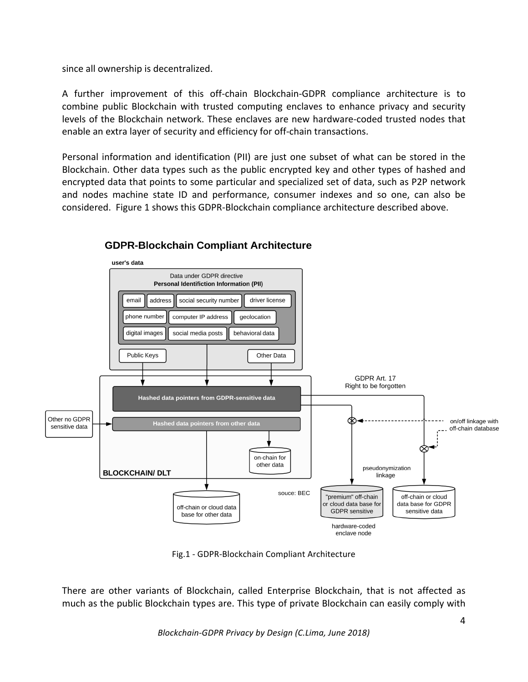since all ownership is decentralized.

A further improvement of this off-chain Blockchain-GDPR compliance architecture is to combine public Blockchain with trusted computing enclaves to enhance privacy and security levels of the Blockchain network. These enclaves are new hardware-coded trusted nodes that enable an extra layer of security and efficiency for off-chain transactions.

Personal information and identification (PII) are just one subset of what can be stored in the Blockchain. Other data types such as the public encrypted key and other types of hashed and encrypted data that points to some particular and specialized set of data, such as P2P network and nodes machine state ID and performance, consumer indexes and so one, can also be considered. Figure 1 shows this GDPR-Blockchain compliance architecture described above.



## **GDPR-Blockchain Compliant Architecture**

Fig.1 - GDPR-Blockchain Compliant Architecture

There are other variants of Blockchain, called Enterprise Blockchain, that is not affected as much as the public Blockchain types are. This type of private Blockchain can easily comply with